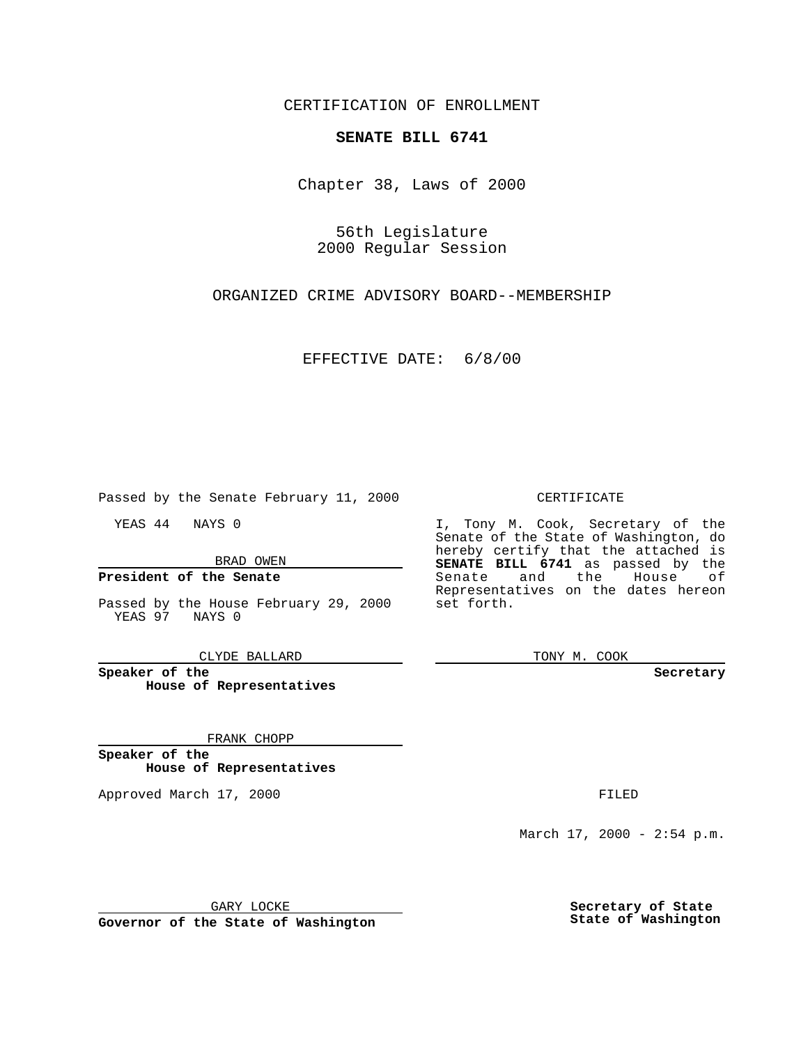CERTIFICATION OF ENROLLMENT

## **SENATE BILL 6741**

Chapter 38, Laws of 2000

56th Legislature 2000 Regular Session

ORGANIZED CRIME ADVISORY BOARD--MEMBERSHIP

EFFECTIVE DATE: 6/8/00

Passed by the Senate February 11, 2000

YEAS 44 NAYS 0

BRAD OWEN

### **President of the Senate**

Passed by the House February 29, 2000 YEAS 97 NAYS 0

CLYDE BALLARD

**Speaker of the House of Representatives**

#### FRANK CHOPP

**Speaker of the House of Representatives**

Approved March 17, 2000 FILED

#### CERTIFICATE

I, Tony M. Cook, Secretary of the Senate of the State of Washington, do hereby certify that the attached is **SENATE BILL 6741** as passed by the Senate and the House of Representatives on the dates hereon set forth.

TONY M. COOK

**Secretary**

March 17, 2000 - 2:54 p.m.

GARY LOCKE

**Governor of the State of Washington**

**Secretary of State State of Washington**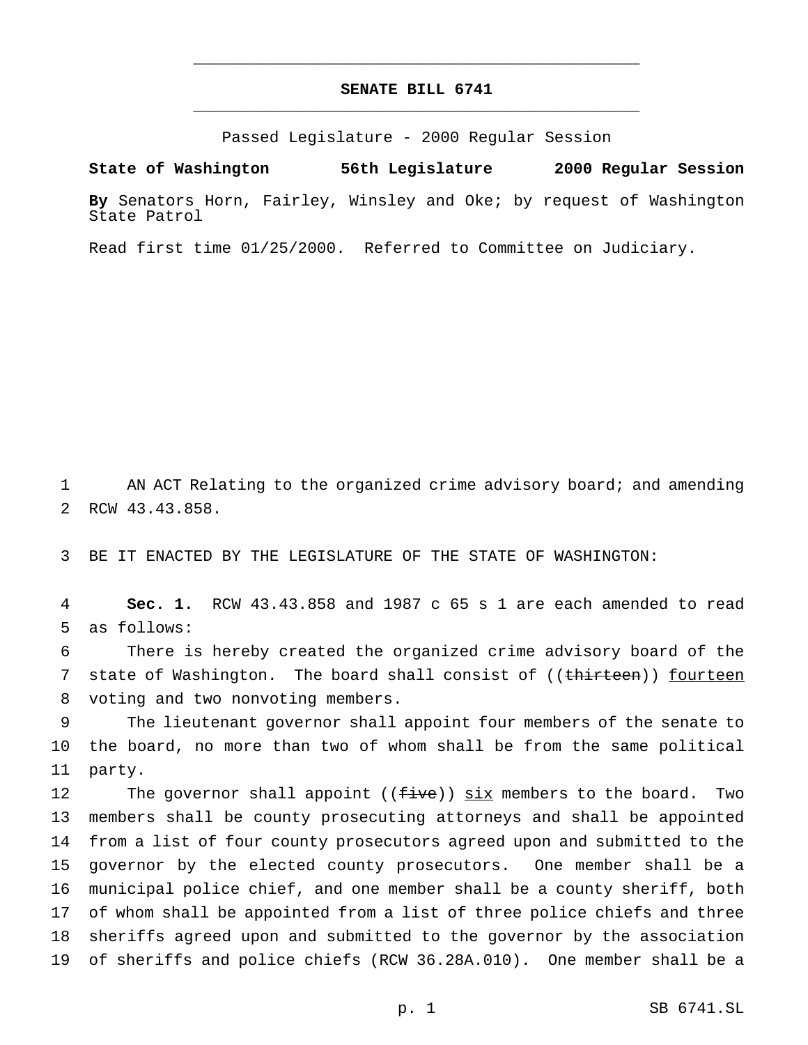# **SENATE BILL 6741** \_\_\_\_\_\_\_\_\_\_\_\_\_\_\_\_\_\_\_\_\_\_\_\_\_\_\_\_\_\_\_\_\_\_\_\_\_\_\_\_\_\_\_\_\_\_\_

\_\_\_\_\_\_\_\_\_\_\_\_\_\_\_\_\_\_\_\_\_\_\_\_\_\_\_\_\_\_\_\_\_\_\_\_\_\_\_\_\_\_\_\_\_\_\_

Passed Legislature - 2000 Regular Session

**State of Washington 56th Legislature 2000 Regular Session**

**By** Senators Horn, Fairley, Winsley and Oke; by request of Washington State Patrol

Read first time 01/25/2000. Referred to Committee on Judiciary.

 AN ACT Relating to the organized crime advisory board; and amending RCW 43.43.858.

BE IT ENACTED BY THE LEGISLATURE OF THE STATE OF WASHINGTON:

 **Sec. 1.** RCW 43.43.858 and 1987 c 65 s 1 are each amended to read as follows:

 There is hereby created the organized crime advisory board of the 7 state of Washington. The board shall consist of ((thirteen)) fourteen voting and two nonvoting members.

 The lieutenant governor shall appoint four members of the senate to the board, no more than two of whom shall be from the same political party.

12 The governor shall appoint  $((fiv)$  six members to the board. Two members shall be county prosecuting attorneys and shall be appointed from a list of four county prosecutors agreed upon and submitted to the governor by the elected county prosecutors. One member shall be a municipal police chief, and one member shall be a county sheriff, both of whom shall be appointed from a list of three police chiefs and three sheriffs agreed upon and submitted to the governor by the association of sheriffs and police chiefs (RCW 36.28A.010). One member shall be a